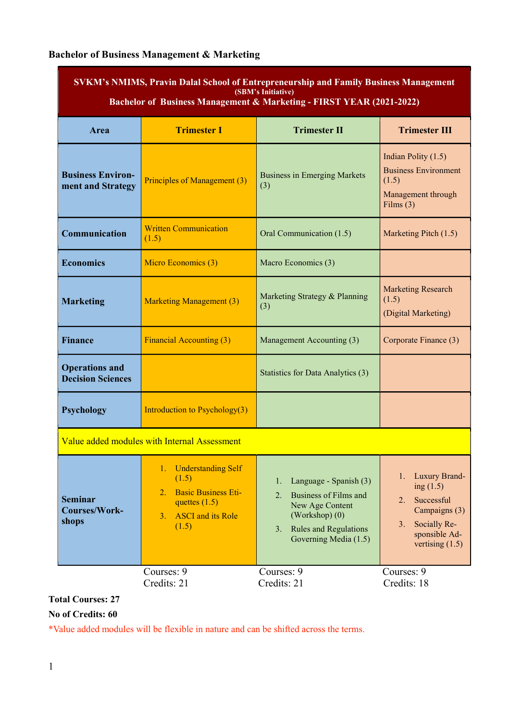# Bachelor of Business Management & Marketing

| Area                                              | <b>Trimester I</b>                                                                                                                         | <b>Trimester II</b>                                                                                                                                          | <b>Trimester III</b>                                                                                                                |
|---------------------------------------------------|--------------------------------------------------------------------------------------------------------------------------------------------|--------------------------------------------------------------------------------------------------------------------------------------------------------------|-------------------------------------------------------------------------------------------------------------------------------------|
| <b>Business Environ-</b><br>ment and Strategy     | Principles of Management (3)                                                                                                               | <b>Business in Emerging Markets</b><br>(3)                                                                                                                   | Indian Polity (1.5)<br><b>Business Environment</b><br>(1.5)<br>Management through<br>Films $(3)$                                    |
| Communication                                     | <b>Written Communication</b><br>(1.5)                                                                                                      | Oral Communication (1.5)                                                                                                                                     | Marketing Pitch (1.5)                                                                                                               |
| <b>Economics</b>                                  | Micro Economics (3)                                                                                                                        | Macro Economics (3)                                                                                                                                          |                                                                                                                                     |
| <b>Marketing</b>                                  | <b>Marketing Management (3)</b>                                                                                                            | Marketing Strategy & Planning<br>(3)                                                                                                                         | <b>Marketing Research</b><br>(1.5)<br>(Digital Marketing)                                                                           |
| <b>Finance</b>                                    | <b>Financial Accounting (3)</b>                                                                                                            | Management Accounting (3)                                                                                                                                    | Corporate Finance (3)                                                                                                               |
| <b>Operations and</b><br><b>Decision Sciences</b> |                                                                                                                                            | Statistics for Data Analytics (3)                                                                                                                            |                                                                                                                                     |
| <b>Psychology</b>                                 | Introduction to Psychology(3)                                                                                                              |                                                                                                                                                              |                                                                                                                                     |
|                                                   | Value added modules with Internal Assessment                                                                                               |                                                                                                                                                              |                                                                                                                                     |
| <b>Seminar</b><br><b>Courses/Work-</b><br>shops   | <b>Understanding Self</b><br>1.<br>(1.5)<br><b>Basic Business Eti-</b><br>2.<br>quettes $(1.5)$<br><b>ASCI</b> and its Role<br>3.<br>(1.5) | Language - Spanish (3)<br>1.<br><b>Business of Films and</b><br>2.<br>New Age Content<br>(Workshop) (0)<br>3. Rules and Regulations<br>Governing Media (1.5) | Luxury Brand-<br>1.<br>ing $(1.5)$<br>Successful<br>2.<br>Campaigns (3)<br>Socially Re-<br>3.<br>sponsible Ad-<br>vertising $(1.5)$ |
|                                                   | Courses: 9<br>Credits: 21                                                                                                                  | Courses: 9<br>Credits: 21                                                                                                                                    | Courses: 9<br>Credits: 18                                                                                                           |

## Total Courses: 27

### No of Credits: 60

\*Value added modules will be flexible in nature and can be shifted across the terms.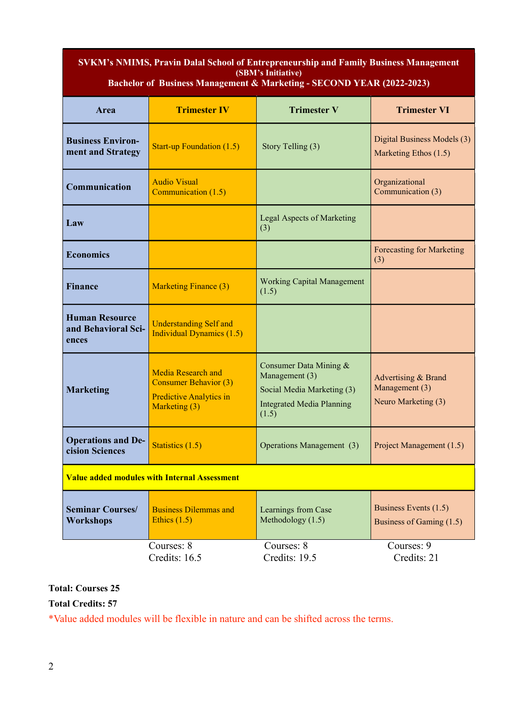#### SVKM's NMIMS, Pravin Dalal School of Entrepreneurship and Family Business Management (SBM's Initiative)<br>
nagement & Marketing Bachelor of Business Management & Marketing - SECOND YEAR (2022-2023)

| Area                                                  | <b>Trimester IV</b>                                                                                   | <b>Trimester V</b>                                                                                                  | <b>Trimester VI</b>                                          |
|-------------------------------------------------------|-------------------------------------------------------------------------------------------------------|---------------------------------------------------------------------------------------------------------------------|--------------------------------------------------------------|
| <b>Business Environ-</b><br>ment and Strategy         | <b>Start-up Foundation (1.5)</b>                                                                      | Story Telling (3)                                                                                                   | Digital Business Models (3)<br>Marketing Ethos (1.5)         |
| Communication                                         | <b>Audio Visual</b><br>Communication (1.5)                                                            |                                                                                                                     | Organizational<br>Communication (3)                          |
| Law                                                   |                                                                                                       | Legal Aspects of Marketing<br>(3)                                                                                   |                                                              |
| <b>Economics</b>                                      |                                                                                                       |                                                                                                                     | Forecasting for Marketing<br>(3)                             |
| <b>Finance</b>                                        | <b>Marketing Finance (3)</b>                                                                          | <b>Working Capital Management</b><br>(1.5)                                                                          |                                                              |
| <b>Human Resource</b><br>and Behavioral Sci-<br>ences | <b>Understanding Self and</b><br><b>Individual Dynamics (1.5)</b>                                     |                                                                                                                     |                                                              |
| <b>Marketing</b>                                      | Media Research and<br><b>Consumer Behavior (3)</b><br><b>Predictive Analytics in</b><br>Marketing (3) | Consumer Data Mining &<br>Management (3)<br>Social Media Marketing (3)<br><b>Integrated Media Planning</b><br>(1.5) | Advertising & Brand<br>Management (3)<br>Neuro Marketing (3) |
| <b>Operations and De-</b><br>cision Sciences          | Statistics (1.5)                                                                                      | Operations Management (3)                                                                                           | Project Management (1.5)                                     |
|                                                       | <b>Value added modules with Internal Assessment</b>                                                   |                                                                                                                     |                                                              |
| <b>Seminar Courses/</b><br>Workshops                  | <b>Business Dilemmas and</b><br>Ethics $(1.5)$                                                        | Learnings from Case<br>Methodology (1.5)                                                                            | Business Events (1.5)<br>Business of Gaming (1.5)            |
|                                                       | Courses: 8<br>Credits: 16.5                                                                           | Courses: 8<br>Credits: 19.5                                                                                         | Courses: 9<br>Credits: 21                                    |

## Total: Courses 25

Total Credits: 57

\*Value added modules will be flexible in nature and can be shifted across the terms.